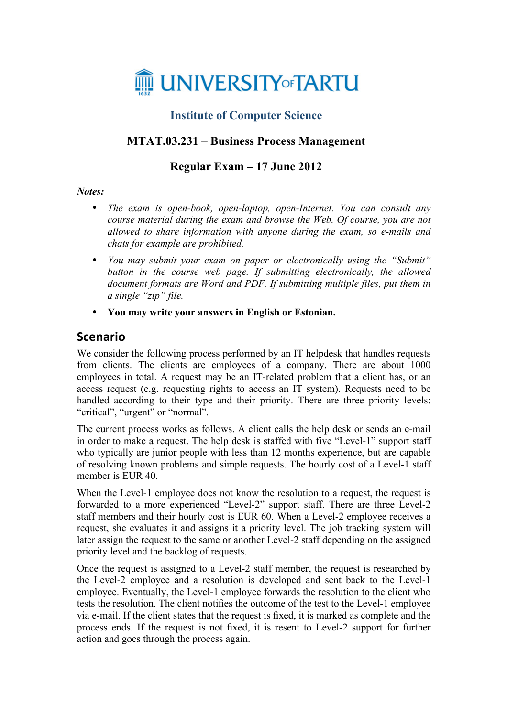

## **Institute of Computer Science**

## **MTAT.03.231 – Business Process Management**

## **Regular Exam – 17 June 2012**

#### *Notes:*

- *The exam is open-book, open-laptop, open-Internet. You can consult any course material during the exam and browse the Web. Of course, you are not allowed to share information with anyone during the exam, so e-mails and chats for example are prohibited.*
- *You may submit your exam on paper or electronically using the "Submit" button in the course web page. If submitting electronically, the allowed document formats are Word and PDF. If submitting multiple files, put them in a single "zip" file.*
- **You may write your answers in English or Estonian.**

## **Scenario**

We consider the following process performed by an IT helpdesk that handles requests from clients. The clients are employees of a company. There are about 1000 employees in total. A request may be an IT-related problem that a client has, or an access request (e.g. requesting rights to access an IT system). Requests need to be handled according to their type and their priority. There are three priority levels: "critical", "urgent" or "normal".

The current process works as follows. A client calls the help desk or sends an e-mail in order to make a request. The help desk is staffed with five "Level-1" support staff who typically are junior people with less than 12 months experience, but are capable of resolving known problems and simple requests. The hourly cost of a Level-1 staff member is EUR 40.

When the Level-1 employee does not know the resolution to a request, the request is forwarded to a more experienced "Level-2" support staff. There are three Level-2 staff members and their hourly cost is EUR 60. When a Level-2 employee receives a request, she evaluates it and assigns it a priority level. The job tracking system will later assign the request to the same or another Level-2 staff depending on the assigned priority level and the backlog of requests.

Once the request is assigned to a Level-2 staff member, the request is researched by the Level-2 employee and a resolution is developed and sent back to the Level-1 employee. Eventually, the Level-1 employee forwards the resolution to the client who tests the resolution. The client notifies the outcome of the test to the Level-1 employee via e-mail. If the client states that the request is fixed, it is marked as complete and the process ends. If the request is not fixed, it is resent to Level-2 support for further action and goes through the process again.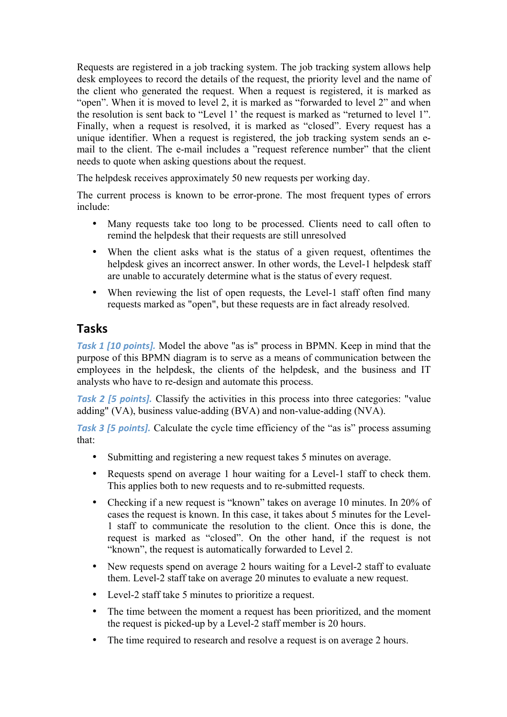Requests are registered in a job tracking system. The job tracking system allows help desk employees to record the details of the request, the priority level and the name of the client who generated the request. When a request is registered, it is marked as "open". When it is moved to level 2, it is marked as "forwarded to level 2" and when the resolution is sent back to "Level 1' the request is marked as "returned to level 1". Finally, when a request is resolved, it is marked as "closed". Every request has a unique identifier. When a request is registered, the job tracking system sends an email to the client. The e-mail includes a "request reference number" that the client needs to quote when asking questions about the request.

The helpdesk receives approximately 50 new requests per working day.

The current process is known to be error-prone. The most frequent types of errors include:

- Many requests take too long to be processed. Clients need to call often to remind the helpdesk that their requests are still unresolved
- When the client asks what is the status of a given request, oftentimes the helpdesk gives an incorrect answer. In other words, the Level-1 helpdesk staff are unable to accurately determine what is the status of every request.
- When reviewing the list of open requests, the Level-1 staff often find many requests marked as "open", but these requests are in fact already resolved.

# **Tasks**

**Task 1 [10 points].** Model the above "as is" process in BPMN. Keep in mind that the purpose of this BPMN diagram is to serve as a means of communication between the employees in the helpdesk, the clients of the helpdesk, and the business and IT analysts who have to re-design and automate this process.

*Task 2 [5 points].* Classify the activities in this process into three categories: "value adding" (VA), business value-adding (BVA) and non-value-adding (NVA).

**Task 3 [5 points].** Calculate the cycle time efficiency of the "as is" process assuming that:

- Submitting and registering a new request takes 5 minutes on average.
- Requests spend on average 1 hour waiting for a Level-1 staff to check them. This applies both to new requests and to re-submitted requests.
- Checking if a new request is "known" takes on average 10 minutes. In 20% of cases the request is known. In this case, it takes about 5 minutes for the Level-1 staff to communicate the resolution to the client. Once this is done, the request is marked as "closed". On the other hand, if the request is not "known", the request is automatically forwarded to Level 2.
- New requests spend on average 2 hours waiting for a Level-2 staff to evaluate them. Level-2 staff take on average 20 minutes to evaluate a new request.
- Level-2 staff take 5 minutes to prioritize a request.
- The time between the moment a request has been prioritized, and the moment the request is picked-up by a Level-2 staff member is 20 hours.
- The time required to research and resolve a request is on average 2 hours.